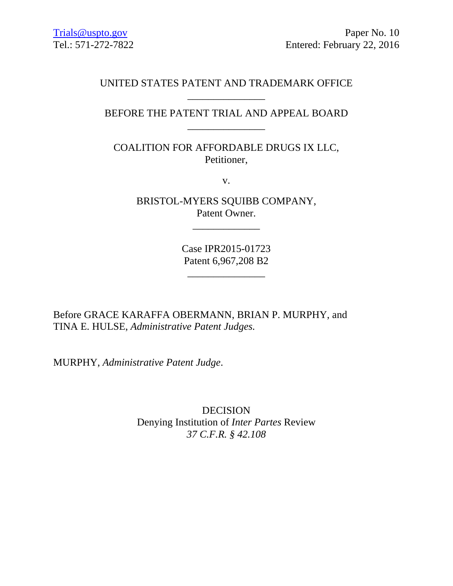## UNITED STATES PATENT AND TRADEMARK OFFICE \_\_\_\_\_\_\_\_\_\_\_\_\_\_\_

# BEFORE THE PATENT TRIAL AND APPEAL BOARD \_\_\_\_\_\_\_\_\_\_\_\_\_\_\_

COALITION FOR AFFORDABLE DRUGS IX LLC, Petitioner,

v.

BRISTOL-MYERS SQUIBB COMPANY, Patent Owner.

\_\_\_\_\_\_\_\_\_\_\_\_\_

Case IPR2015-01723 Patent 6,967,208 B2

\_\_\_\_\_\_\_\_\_\_\_\_\_\_\_

Before GRACE KARAFFA OBERMANN, BRIAN P. MURPHY, and TINA E. HULSE, *Administrative Patent Judges.* 

MURPHY, *Administrative Patent Judge*.

DECISION Denying Institution of *Inter Partes* Review *37 C.F.R. § 42.108*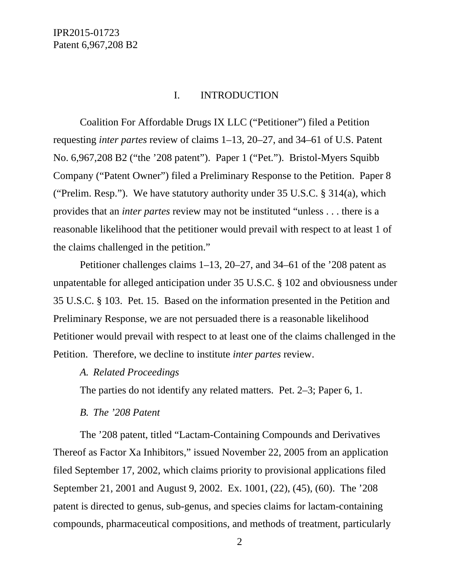### I. INTRODUCTION

Coalition For Affordable Drugs IX LLC ("Petitioner") filed a Petition requesting *inter partes* review of claims 1–13, 20–27, and 34–61 of U.S. Patent No. 6,967,208 B2 ("the '208 patent"). Paper 1 ("Pet."). Bristol-Myers Squibb Company ("Patent Owner") filed a Preliminary Response to the Petition. Paper 8 ("Prelim. Resp."). We have statutory authority under 35 U.S.C. § 314(a), which provides that an *inter partes* review may not be instituted "unless . . . there is a reasonable likelihood that the petitioner would prevail with respect to at least 1 of the claims challenged in the petition."

Petitioner challenges claims 1–13, 20–27, and 34–61 of the '208 patent as unpatentable for alleged anticipation under 35 U.S.C. § 102 and obviousness under 35 U.S.C. § 103. Pet. 15. Based on the information presented in the Petition and Preliminary Response, we are not persuaded there is a reasonable likelihood Petitioner would prevail with respect to at least one of the claims challenged in the Petition. Therefore, we decline to institute *inter partes* review.

#### *A. Related Proceedings*

The parties do not identify any related matters. Pet. 2–3; Paper 6, 1.

#### *B. The '208 Patent*

The '208 patent, titled "Lactam-Containing Compounds and Derivatives Thereof as Factor Xa Inhibitors," issued November 22, 2005 from an application filed September 17, 2002, which claims priority to provisional applications filed September 21, 2001 and August 9, 2002. Ex. 1001, (22), (45), (60). The '208 patent is directed to genus, sub-genus, and species claims for lactam-containing compounds, pharmaceutical compositions, and methods of treatment, particularly

2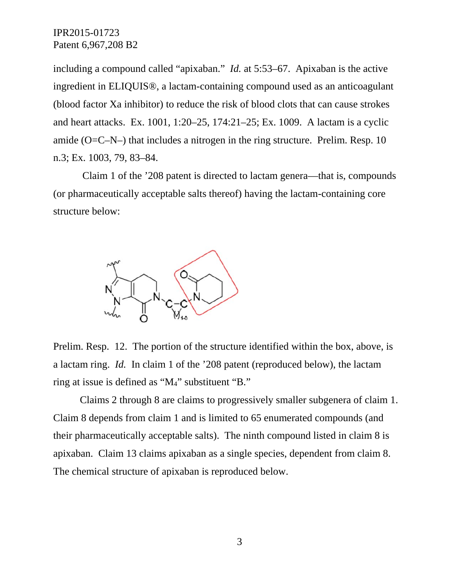including a compound called "apixaban." *Id.* at 5:53–67. Apixaban is the active ingredient in ELIQUIS®, a lactam-containing compound used as an anticoagulant (blood factor Xa inhibitor) to reduce the risk of blood clots that can cause strokes and heart attacks. Ex. 1001, 1:20–25, 174:21–25; Ex. 1009. A lactam is a cyclic amide ( $O=C-N-$ ) that includes a nitrogen in the ring structure. Prelim. Resp. 10 n.3; Ex. 1003, 79, 83–84.

 Claim 1 of the '208 patent is directed to lactam genera—that is, compounds (or pharmaceutically acceptable salts thereof) having the lactam-containing core structure below:



Prelim. Resp. 12. The portion of the structure identified within the box, above, is a lactam ring. *Id.* In claim 1 of the '208 patent (reproduced below), the lactam ring at issue is defined as "M4" substituent "B."

Claims 2 through 8 are claims to progressively smaller subgenera of claim 1. Claim 8 depends from claim 1 and is limited to 65 enumerated compounds (and their pharmaceutically acceptable salts). The ninth compound listed in claim 8 is apixaban. Claim 13 claims apixaban as a single species, dependent from claim 8. The chemical structure of apixaban is reproduced below.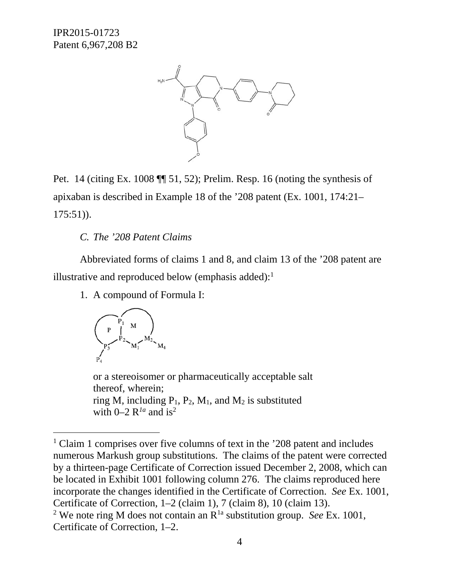

Pet. 14 (citing Ex. 1008 ¶¶ 51, 52); Prelim. Resp. 16 (noting the synthesis of apixaban is described in Example 18 of the '208 patent (Ex. 1001, 174:21– 175:51)).

## *C. The '208 Patent Claims*

Abbreviated forms of claims 1 and 8, and claim 13 of the '208 patent are illustrative and reproduced below (emphasis added): $<sup>1</sup>$ </sup>

1. A compound of Formula I:



l

or a stereoisomer or pharmaceutically acceptable salt thereof, wherein; ring M, including  $P_1$ ,  $P_2$ , M<sub>1</sub>, and M<sub>2</sub> is substituted with  $0-2$  R<sup>1a</sup> and is<sup>2</sup>

<sup>&</sup>lt;sup>1</sup> Claim 1 comprises over five columns of text in the '208 patent and includes numerous Markush group substitutions. The claims of the patent were corrected by a thirteen-page Certificate of Correction issued December 2, 2008, which can be located in Exhibit 1001 following column 276. The claims reproduced here incorporate the changes identified in the Certificate of Correction. *See* Ex. 1001, Certificate of Correction, 1–2 (claim 1), 7 (claim 8), 10 (claim 13).

<sup>&</sup>lt;sup>2</sup> We note ring M does not contain an  $R^{1a}$  substitution group. *See* Ex. 1001, Certificate of Correction, 1–2.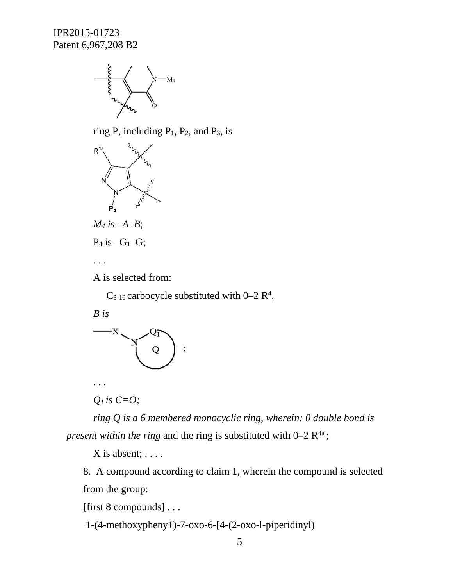

ring P, including  $P_1$ ,  $P_2$ , and  $P_3$ , is



 $C_{3-10}$  carbocycle substituted with  $0-2 R<sup>4</sup>$ ,

*B is* 



. . .

*Q1 is C=O;* 

*ring Q is a 6 membered monocyclic ring, wherein: 0 double bond is present within the ring* and the ring is substituted with  $0-2 R^{4a}$ ;

 $X$  is absent;  $\dots$ .

8. A compound according to claim 1, wherein the compound is selected from the group:

[first 8 compounds] . . .

1-(4-methoxypheny1)-7-oxo-6-[4-(2-oxo-l-piperidinyl)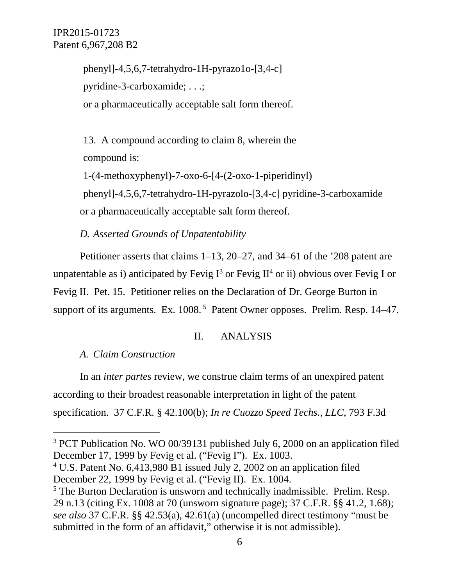phenyl]-4,5,6,7-tetrahydro-1H-pyrazo1o-[3,4-c] pyridine-3-carboxamide; . . .; or a pharmaceutically acceptable salt form thereof.

13. A compound according to claim 8, wherein the compound is:

1-(4-methoxyphenyl)-7-oxo-6-[4-(2-oxo-1-piperidinyl) phenyl]-4,5,6,7-tetrahydro-1H-pyrazolo-[3,4-c] pyridine-3-carboxamide or a pharmaceutically acceptable salt form thereof.

*D. Asserted Grounds of Unpatentability*

Petitioner asserts that claims 1–13, 20–27, and 34–61 of the '208 patent are unpatentable as i) anticipated by Fevig  $I^3$  or Fevig II<sup>4</sup> or ii) obvious over Fevig I or Fevig II. Pet. 15. Petitioner relies on the Declaration of Dr. George Burton in support of its arguments. Ex. 1008.<sup>5</sup> Patent Owner opposes. Prelim. Resp. 14–47.

#### II. ANALYSIS

*A. Claim Construction*

l

In an *inter partes* review, we construe claim terms of an unexpired patent according to their broadest reasonable interpretation in light of the patent specification. 37 C.F.R. § 42.100(b); *In re Cuozzo Speed Techs., LLC*, 793 F.3d

<sup>&</sup>lt;sup>3</sup> PCT Publication No. WO 00/39131 published July 6, 2000 on an application filed December 17, 1999 by Fevig et al. ("Fevig I"). Ex. 1003.

<sup>&</sup>lt;sup>4</sup> U.S. Patent No. 6,413,980 B1 issued July 2, 2002 on an application filed December 22, 1999 by Fevig et al. ("Fevig II). Ex. 1004.

 $<sup>5</sup>$  The Burton Declaration is unsworn and technically inadmissible. Prelim. Resp.</sup> 29 n.13 (citing Ex. 1008 at 70 (unsworn signature page); 37 C.F.R. §§ 41.2, 1.68); *see also* 37 C.F.R. §§ 42.53(a), 42.61(a) (uncompelled direct testimony "must be submitted in the form of an affidavit," otherwise it is not admissible).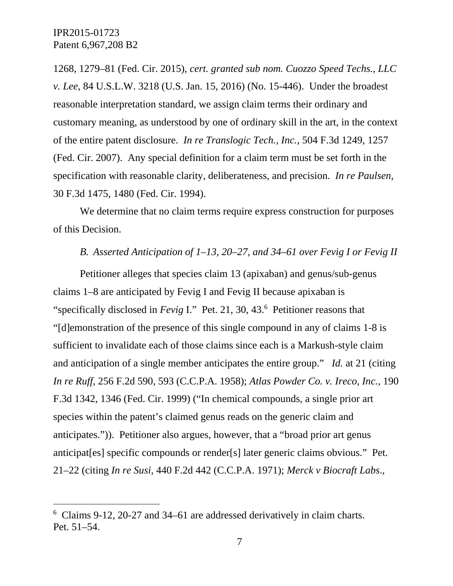-

1268, 1279–81 (Fed. Cir. 2015), *cert. granted sub nom. Cuozzo Speed Techs., LLC v. Lee*, 84 U.S.L.W. 3218 (U.S. Jan. 15, 2016) (No. 15-446). Under the broadest reasonable interpretation standard, we assign claim terms their ordinary and customary meaning, as understood by one of ordinary skill in the art, in the context of the entire patent disclosure. *In re Translogic Tech., Inc.*, 504 F.3d 1249, 1257 (Fed. Cir. 2007). Any special definition for a claim term must be set forth in the specification with reasonable clarity, deliberateness, and precision. *In re Paulsen*, 30 F.3d 1475, 1480 (Fed. Cir. 1994).

We determine that no claim terms require express construction for purposes of this Decision.

#### *B. Asserted Anticipation of 1–13, 20–27, and 34–61 over Fevig I or Fevig II*

Petitioner alleges that species claim 13 (apixaban) and genus/sub-genus claims 1–8 are anticipated by Fevig I and Fevig II because apixaban is "specifically disclosed in *Fevig I*." Pet. 21, 30, 43.<sup>6</sup> Petitioner reasons that "[d]emonstration of the presence of this single compound in any of claims 1-8 is sufficient to invalidate each of those claims since each is a Markush-style claim and anticipation of a single member anticipates the entire group." *Id.* at 21 (citing *In re Ruff*, 256 F.2d 590, 593 (C.C.P.A. 1958); *Atlas Powder Co. v. Ireco, Inc.*, 190 F.3d 1342, 1346 (Fed. Cir. 1999) ("In chemical compounds, a single prior art species within the patent's claimed genus reads on the generic claim and anticipates.")). Petitioner also argues, however, that a "broad prior art genus anticipat[es] specific compounds or render[s] later generic claims obvious." Pet. 21–22 (citing *In re Susi*, 440 F.2d 442 (C.C.P.A. 1971); *Merck v Biocraft Labs*.,

<sup>6</sup> Claims 9-12, 20-27 and 34–61 are addressed derivatively in claim charts. Pet. 51–54.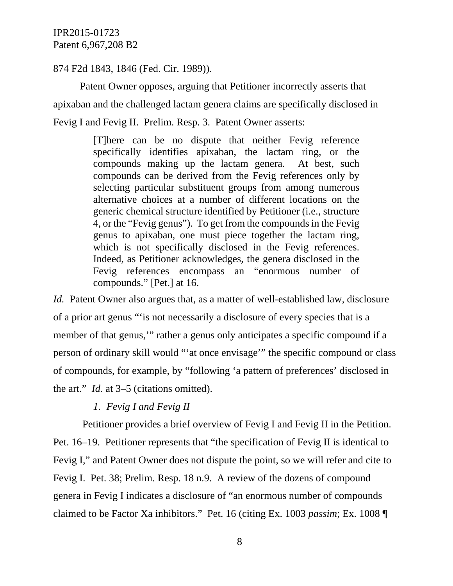874 F2d 1843, 1846 (Fed. Cir. 1989)).

Patent Owner opposes, arguing that Petitioner incorrectly asserts that apixaban and the challenged lactam genera claims are specifically disclosed in Fevig I and Fevig II. Prelim. Resp. 3. Patent Owner asserts:

> [T]here can be no dispute that neither Fevig reference specifically identifies apixaban, the lactam ring, or the compounds making up the lactam genera. At best, such compounds can be derived from the Fevig references only by selecting particular substituent groups from among numerous alternative choices at a number of different locations on the generic chemical structure identified by Petitioner (i.e., structure 4, or the "Fevig genus"). To get from the compounds in the Fevig genus to apixaban, one must piece together the lactam ring, which is not specifically disclosed in the Fevig references. Indeed, as Petitioner acknowledges, the genera disclosed in the Fevig references encompass an "enormous number of compounds." [Pet.] at 16.

*Id.* Patent Owner also argues that, as a matter of well-established law, disclosure of a prior art genus "'is not necessarily a disclosure of every species that is a member of that genus,'" rather a genus only anticipates a specific compound if a person of ordinary skill would "'at once envisage'" the specific compound or class of compounds, for example, by "following 'a pattern of preferences' disclosed in the art." *Id.* at 3–5 (citations omitted).

#### *1. Fevig I and Fevig II*

 Petitioner provides a brief overview of Fevig I and Fevig II in the Petition. Pet. 16–19. Petitioner represents that "the specification of Fevig II is identical to Fevig I," and Patent Owner does not dispute the point, so we will refer and cite to Fevig I. Pet. 38; Prelim. Resp. 18 n.9. A review of the dozens of compound genera in Fevig I indicates a disclosure of "an enormous number of compounds claimed to be Factor Xa inhibitors." Pet. 16 (citing Ex. 1003 *passim*; Ex. 1008 ¶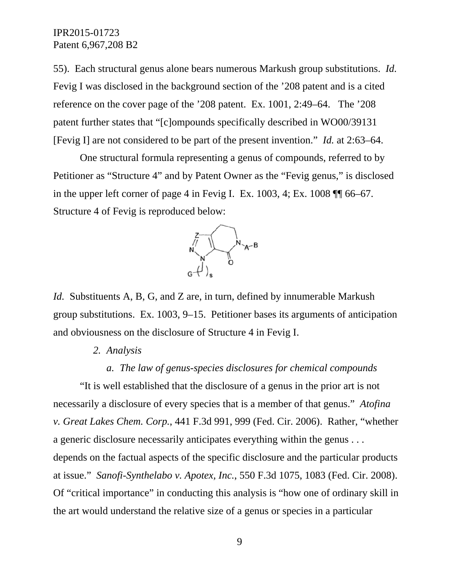55). Each structural genus alone bears numerous Markush group substitutions. *Id.* Fevig I was disclosed in the background section of the '208 patent and is a cited reference on the cover page of the '208 patent. Ex. 1001, 2:49–64. The '208 patent further states that "[c]ompounds specifically described in WO00/39131 [Fevig I] are not considered to be part of the present invention." *Id.* at 2:63–64.

One structural formula representing a genus of compounds, referred to by Petitioner as "Structure 4" and by Patent Owner as the "Fevig genus," is disclosed in the upper left corner of page 4 in Fevig I. Ex. 1003, 4; Ex. 1008 ¶¶ 66–67. Structure 4 of Fevig is reproduced below:



*Id.* Substituents A, B, G, and Z are, in turn, defined by innumerable Markush group substitutions. Ex. 1003, 9–15. Petitioner bases its arguments of anticipation and obviousness on the disclosure of Structure 4 in Fevig I.

#### *2. Analysis*

## *a. The law of genus-species disclosures for chemical compounds*

"It is well established that the disclosure of a genus in the prior art is not necessarily a disclosure of every species that is a member of that genus." *Atofina v. Great Lakes Chem. Corp.*, 441 F.3d 991, 999 (Fed. Cir. 2006). Rather, "whether a generic disclosure necessarily anticipates everything within the genus . . . depends on the factual aspects of the specific disclosure and the particular products at issue." *Sanofi-Synthelabo v. Apotex, Inc.*, 550 F.3d 1075, 1083 (Fed. Cir. 2008). Of "critical importance" in conducting this analysis is "how one of ordinary skill in the art would understand the relative size of a genus or species in a particular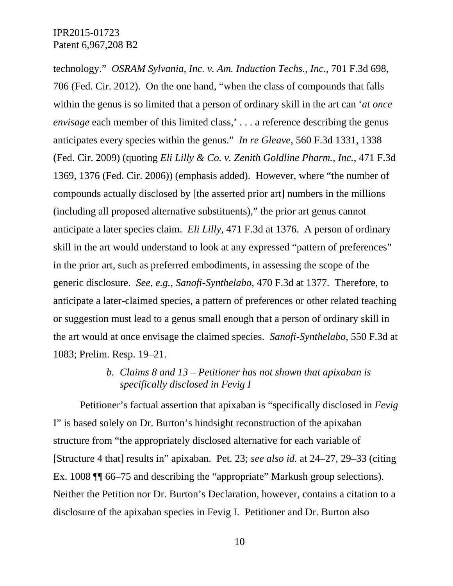technology." *OSRAM Sylvania, Inc. v. Am. Induction Techs., Inc.*, 701 F.3d 698, 706 (Fed. Cir. 2012). On the one hand, "when the class of compounds that falls within the genus is so limited that a person of ordinary skill in the art can '*at once envisage* each member of this limited class,'... a reference describing the genus anticipates every species within the genus." *In re Gleave*, 560 F.3d 1331, 1338 (Fed. Cir. 2009) (quoting *Eli Lilly & Co. v. Zenith Goldline Pharm., Inc.*, 471 F.3d 1369, 1376 (Fed. Cir. 2006)) (emphasis added). However, where "the number of compounds actually disclosed by [the asserted prior art] numbers in the millions (including all proposed alternative substituents)," the prior art genus cannot anticipate a later species claim. *Eli Lilly*, 471 F.3d at 1376. A person of ordinary skill in the art would understand to look at any expressed "pattern of preferences" in the prior art, such as preferred embodiments, in assessing the scope of the generic disclosure. *See, e.g.*, *Sanofi-Synthelabo*, 470 F.3d at 1377. Therefore, to anticipate a later-claimed species, a pattern of preferences or other related teaching or suggestion must lead to a genus small enough that a person of ordinary skill in the art would at once envisage the claimed species. *Sanofi-Synthelabo*, 550 F.3d at 1083; Prelim. Resp. 19–21.

## *b. Claims 8 and 13 – Petitioner has not shown that apixaban is specifically disclosed in Fevig I*

Petitioner's factual assertion that apixaban is "specifically disclosed in *Fevig*  I" is based solely on Dr. Burton's hindsight reconstruction of the apixaban structure from "the appropriately disclosed alternative for each variable of [Structure 4 that] results in" apixaban. Pet. 23; *see also id.* at 24–27, 29–33 (citing Ex. 1008 ¶¶ 66–75 and describing the "appropriate" Markush group selections). Neither the Petition nor Dr. Burton's Declaration, however, contains a citation to a disclosure of the apixaban species in Fevig I. Petitioner and Dr. Burton also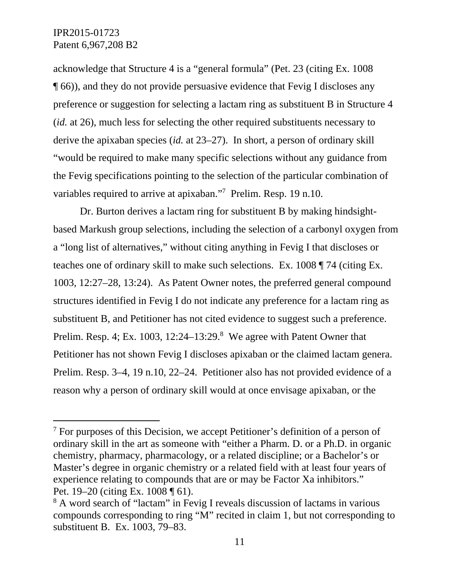$\overline{a}$ 

acknowledge that Structure 4 is a "general formula" (Pet. 23 (citing Ex. 1008 ¶ 66)), and they do not provide persuasive evidence that Fevig I discloses any preference or suggestion for selecting a lactam ring as substituent B in Structure 4 (*id.* at 26), much less for selecting the other required substituents necessary to derive the apixaban species (*id.* at 23–27). In short, a person of ordinary skill "would be required to make many specific selections without any guidance from the Fevig specifications pointing to the selection of the particular combination of variables required to arrive at apixaban."<sup>7</sup> Prelim. Resp. 19 n.10.

Dr. Burton derives a lactam ring for substituent B by making hindsightbased Markush group selections, including the selection of a carbonyl oxygen from a "long list of alternatives," without citing anything in Fevig I that discloses or teaches one of ordinary skill to make such selections. Ex. 1008 ¶ 74 (citing Ex. 1003, 12:27–28, 13:24). As Patent Owner notes, the preferred general compound structures identified in Fevig I do not indicate any preference for a lactam ring as substituent B, and Petitioner has not cited evidence to suggest such a preference. Prelim. Resp. 4; Ex. 1003, 12:24 $-13:29$ .<sup>8</sup> We agree with Patent Owner that Petitioner has not shown Fevig I discloses apixaban or the claimed lactam genera. Prelim. Resp. 3–4, 19 n.10, 22–24. Petitioner also has not provided evidence of a reason why a person of ordinary skill would at once envisage apixaban, or the

<sup>&</sup>lt;sup>7</sup> For purposes of this Decision, we accept Petitioner's definition of a person of ordinary skill in the art as someone with "either a Pharm. D. or a Ph.D. in organic chemistry, pharmacy, pharmacology, or a related discipline; or a Bachelor's or Master's degree in organic chemistry or a related field with at least four years of experience relating to compounds that are or may be Factor Xa inhibitors." Pet. 19–20 (citing Ex. 1008 ¶ 61).

<sup>&</sup>lt;sup>8</sup> A word search of "lactam" in Fevig I reveals discussion of lactams in various compounds corresponding to ring "M" recited in claim 1, but not corresponding to substituent B. Ex. 1003, 79–83.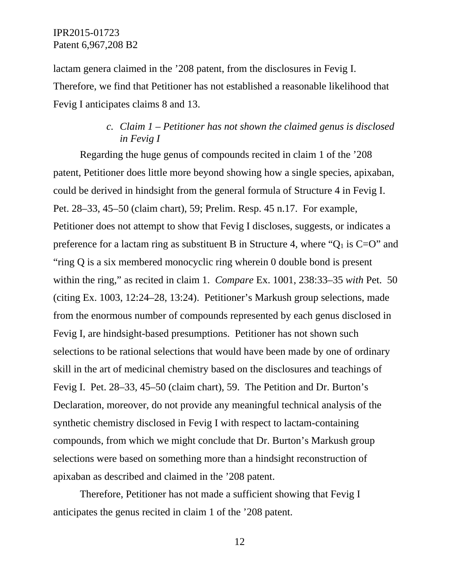lactam genera claimed in the '208 patent, from the disclosures in Fevig I. Therefore, we find that Petitioner has not established a reasonable likelihood that Fevig I anticipates claims 8 and 13.

# *c. Claim 1 – Petitioner has not shown the claimed genus is disclosed in Fevig I*

Regarding the huge genus of compounds recited in claim 1 of the '208 patent, Petitioner does little more beyond showing how a single species, apixaban, could be derived in hindsight from the general formula of Structure 4 in Fevig I. Pet. 28–33, 45–50 (claim chart), 59; Prelim. Resp. 45 n.17. For example, Petitioner does not attempt to show that Fevig I discloses, suggests, or indicates a preference for a lactam ring as substituent B in Structure 4, where " $Q_1$  is  $C=O$ " and "ring Q is a six membered monocyclic ring wherein 0 double bond is present within the ring," as recited in claim 1. *Compare* Ex. 1001, 238:33–35 *with* Pet. 50 (citing Ex. 1003, 12:24–28, 13:24). Petitioner's Markush group selections, made from the enormous number of compounds represented by each genus disclosed in Fevig I, are hindsight-based presumptions. Petitioner has not shown such selections to be rational selections that would have been made by one of ordinary skill in the art of medicinal chemistry based on the disclosures and teachings of Fevig I. Pet. 28–33, 45–50 (claim chart), 59. The Petition and Dr. Burton's Declaration, moreover, do not provide any meaningful technical analysis of the synthetic chemistry disclosed in Fevig I with respect to lactam-containing compounds, from which we might conclude that Dr. Burton's Markush group selections were based on something more than a hindsight reconstruction of apixaban as described and claimed in the '208 patent.

Therefore, Petitioner has not made a sufficient showing that Fevig I anticipates the genus recited in claim 1 of the '208 patent.

12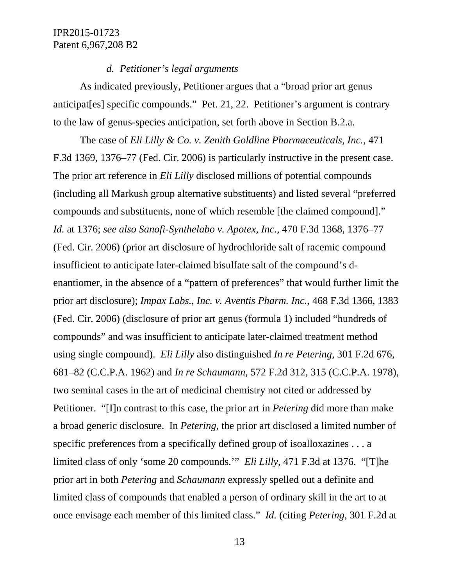#### *d. Petitioner's legal arguments*

As indicated previously, Petitioner argues that a "broad prior art genus anticipat[es] specific compounds." Pet. 21, 22. Petitioner's argument is contrary to the law of genus-species anticipation, set forth above in Section B.2.a.

The case of *Eli Lilly & Co. v. Zenith Goldline Pharmaceuticals, Inc.*, 471 F.3d 1369, 1376–77 (Fed. Cir. 2006) is particularly instructive in the present case. The prior art reference in *Eli Lilly* disclosed millions of potential compounds (including all Markush group alternative substituents) and listed several "preferred compounds and substituents, none of which resemble [the claimed compound]." *Id.* at 1376; *see also Sanofi-Synthelabo v. Apotex, Inc.*, 470 F.3d 1368, 1376–77 (Fed. Cir. 2006) (prior art disclosure of hydrochloride salt of racemic compound insufficient to anticipate later-claimed bisulfate salt of the compound's denantiomer, in the absence of a "pattern of preferences" that would further limit the prior art disclosure); *Impax Labs., Inc. v. Aventis Pharm. Inc.*, 468 F.3d 1366, 1383 (Fed. Cir. 2006) (disclosure of prior art genus (formula 1) included "hundreds of compounds" and was insufficient to anticipate later-claimed treatment method using single compound). *Eli Lilly* also distinguished *In re Petering*, 301 F.2d 676, 681–82 (C.C.P.A. 1962) and *In re Schaumann*, 572 F.2d 312, 315 (C.C.P.A. 1978), two seminal cases in the art of medicinal chemistry not cited or addressed by Petitioner. "[I]n contrast to this case, the prior art in *Petering* did more than make a broad generic disclosure. In *Petering*, the prior art disclosed a limited number of specific preferences from a specifically defined group of isoalloxazines . . . a limited class of only 'some 20 compounds.'" *Eli Lilly*, 471 F.3d at 1376. "[T]he prior art in both *Petering* and *Schaumann* expressly spelled out a definite and limited class of compounds that enabled a person of ordinary skill in the art to at once envisage each member of this limited class." *Id.* (citing *Petering*, 301 F.2d at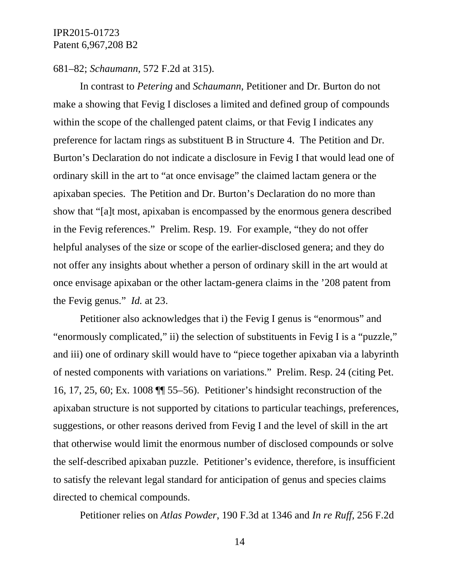#### 681–82; *Schaumann*, 572 F.2d at 315).

In contrast to *Petering* and *Schaumann*, Petitioner and Dr. Burton do not make a showing that Fevig I discloses a limited and defined group of compounds within the scope of the challenged patent claims, or that Fevig I indicates any preference for lactam rings as substituent B in Structure 4. The Petition and Dr. Burton's Declaration do not indicate a disclosure in Fevig I that would lead one of ordinary skill in the art to "at once envisage" the claimed lactam genera or the apixaban species. The Petition and Dr. Burton's Declaration do no more than show that "[a]t most, apixaban is encompassed by the enormous genera described in the Fevig references." Prelim. Resp. 19. For example, "they do not offer helpful analyses of the size or scope of the earlier-disclosed genera; and they do not offer any insights about whether a person of ordinary skill in the art would at once envisage apixaban or the other lactam-genera claims in the '208 patent from the Fevig genus." *Id.* at 23.

Petitioner also acknowledges that i) the Fevig I genus is "enormous" and "enormously complicated," ii) the selection of substituents in Fevig I is a "puzzle," and iii) one of ordinary skill would have to "piece together apixaban via a labyrinth of nested components with variations on variations." Prelim. Resp. 24 (citing Pet. 16, 17, 25, 60; Ex. 1008 ¶¶ 55–56). Petitioner's hindsight reconstruction of the apixaban structure is not supported by citations to particular teachings, preferences, suggestions, or other reasons derived from Fevig I and the level of skill in the art that otherwise would limit the enormous number of disclosed compounds or solve the self-described apixaban puzzle. Petitioner's evidence, therefore, is insufficient to satisfy the relevant legal standard for anticipation of genus and species claims directed to chemical compounds.

Petitioner relies on *Atlas Powder*, 190 F.3d at 1346 and *In re Ruff*, 256 F.2d

14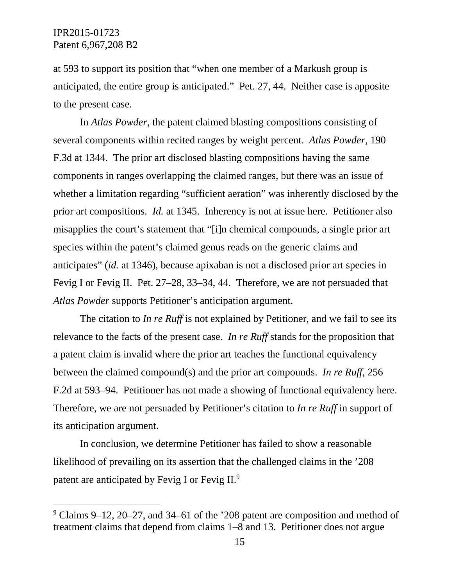$\overline{a}$ 

at 593 to support its position that "when one member of a Markush group is anticipated, the entire group is anticipated." Pet. 27, 44. Neither case is apposite to the present case.

In *Atlas Powder*, the patent claimed blasting compositions consisting of several components within recited ranges by weight percent. *Atlas Powder*, 190 F.3d at 1344. The prior art disclosed blasting compositions having the same components in ranges overlapping the claimed ranges, but there was an issue of whether a limitation regarding "sufficient aeration" was inherently disclosed by the prior art compositions. *Id.* at 1345. Inherency is not at issue here. Petitioner also misapplies the court's statement that "[i]n chemical compounds, a single prior art species within the patent's claimed genus reads on the generic claims and anticipates" (*id.* at 1346), because apixaban is not a disclosed prior art species in Fevig I or Fevig II. Pet. 27–28, 33–34, 44. Therefore, we are not persuaded that *Atlas Powder* supports Petitioner's anticipation argument.

The citation to *In re Ruff* is not explained by Petitioner, and we fail to see its relevance to the facts of the present case. *In re Ruff* stands for the proposition that a patent claim is invalid where the prior art teaches the functional equivalency between the claimed compound(s) and the prior art compounds. *In re Ruff*, 256 F.2d at 593–94. Petitioner has not made a showing of functional equivalency here. Therefore, we are not persuaded by Petitioner's citation to *In re Ruff* in support of its anticipation argument.

In conclusion, we determine Petitioner has failed to show a reasonable likelihood of prevailing on its assertion that the challenged claims in the '208 patent are anticipated by Fevig I or Fevig II.9

<sup>&</sup>lt;sup>9</sup> Claims 9–12, 20–27, and 34–61 of the '208 patent are composition and method of treatment claims that depend from claims 1–8 and 13. Petitioner does not argue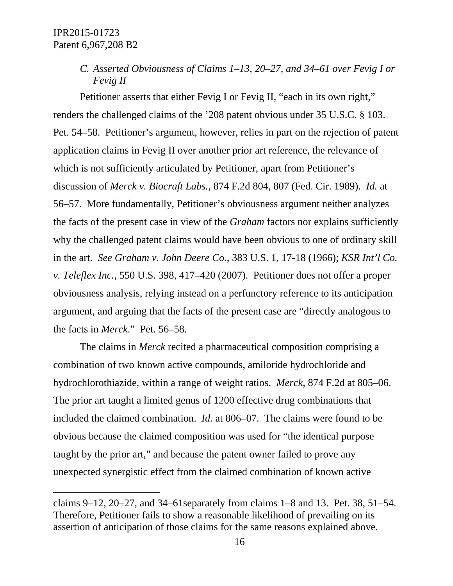-

*C. Asserted Obviousness of Claims 1–13, 20–27, and 34–61 over Fevig I or Fevig II*

Petitioner asserts that either Fevig I or Fevig II, "each in its own right," renders the challenged claims of the '208 patent obvious under 35 U.S.C. § 103. Pet. 54–58. Petitioner's argument, however, relies in part on the rejection of patent application claims in Fevig II over another prior art reference, the relevance of which is not sufficiently articulated by Petitioner, apart from Petitioner's discussion of *Merck v. Biocraft Labs.*, 874 F.2d 804, 807 (Fed. Cir. 1989). *Id.* at 56–57. More fundamentally, Petitioner's obviousness argument neither analyzes the facts of the present case in view of the *Graham* factors nor explains sufficiently why the challenged patent claims would have been obvious to one of ordinary skill in the art. *See Graham v. John Deere Co.*, 383 U.S. 1, 17-18 (1966); *KSR Int'l Co. v. Teleflex Inc.*, 550 U.S. 398, 417–420 (2007). Petitioner does not offer a proper obviousness analysis, relying instead on a perfunctory reference to its anticipation argument, and arguing that the facts of the present case are "directly analogous to the facts in *Merck*." Pet. 56–58.

The claims in *Merck* recited a pharmaceutical composition comprising a combination of two known active compounds, amiloride hydrochloride and hydrochlorothiazide, within a range of weight ratios. *Merck*, 874 F.2d at 805–06. The prior art taught a limited genus of 1200 effective drug combinations that included the claimed combination. *Id.* at 806–07. The claims were found to be obvious because the claimed composition was used for "the identical purpose taught by the prior art," and because the patent owner failed to prove any unexpected synergistic effect from the claimed combination of known active

claims  $9-12$ ,  $20-27$ , and  $34-61$  separately from claims  $1-8$  and  $13$ . Pet.  $38$ ,  $51-54$ . Therefore, Petitioner fails to show a reasonable likelihood of prevailing on its assertion of anticipation of those claims for the same reasons explained above.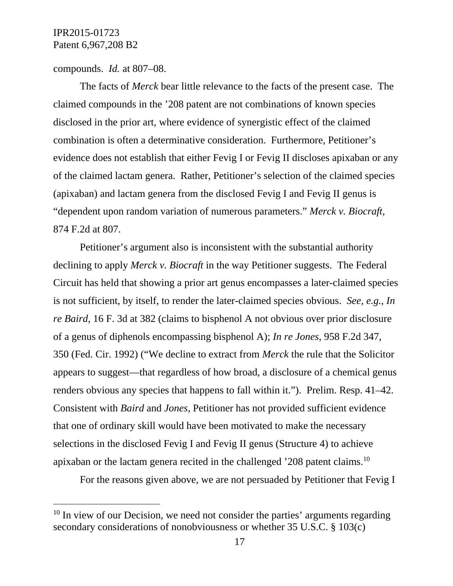$\overline{a}$ 

compounds. *Id.* at 807–08.

The facts of *Merck* bear little relevance to the facts of the present case. The claimed compounds in the '208 patent are not combinations of known species disclosed in the prior art, where evidence of synergistic effect of the claimed combination is often a determinative consideration. Furthermore, Petitioner's evidence does not establish that either Fevig I or Fevig II discloses apixaban or any of the claimed lactam genera. Rather, Petitioner's selection of the claimed species (apixaban) and lactam genera from the disclosed Fevig I and Fevig II genus is "dependent upon random variation of numerous parameters." *Merck v. Biocraft*, 874 F.2d at 807.

Petitioner's argument also is inconsistent with the substantial authority declining to apply *Merck v. Biocraft* in the way Petitioner suggests. The Federal Circuit has held that showing a prior art genus encompasses a later-claimed species is not sufficient, by itself, to render the later-claimed species obvious. *See, e.g.*, *In re Baird,* 16 F. 3d at 382 (claims to bisphenol A not obvious over prior disclosure of a genus of diphenols encompassing bisphenol A); *In re Jones*, 958 F.2d 347, 350 (Fed. Cir. 1992) ("We decline to extract from *Merck* the rule that the Solicitor appears to suggest—that regardless of how broad, a disclosure of a chemical genus renders obvious any species that happens to fall within it."). Prelim. Resp. 41–42. Consistent with *Baird* and *Jones*, Petitioner has not provided sufficient evidence that one of ordinary skill would have been motivated to make the necessary selections in the disclosed Fevig I and Fevig II genus (Structure 4) to achieve apixaban or the lactam genera recited in the challenged '208 patent claims.10

For the reasons given above, we are not persuaded by Petitioner that Fevig I

 $10$  In view of our Decision, we need not consider the parties' arguments regarding secondary considerations of nonobviousness or whether 35 U.S.C. § 103(c)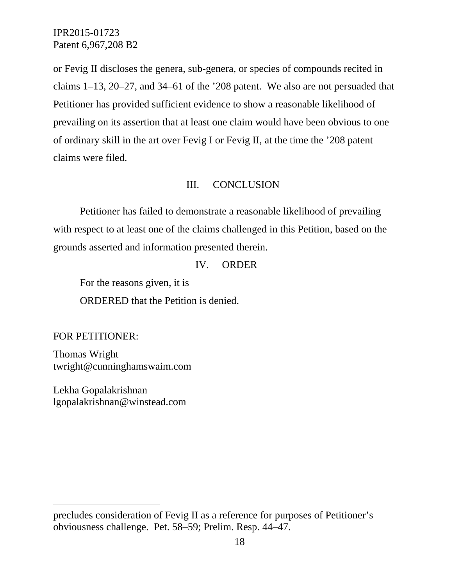or Fevig II discloses the genera, sub-genera, or species of compounds recited in claims 1–13, 20–27, and 34–61 of the '208 patent. We also are not persuaded that Petitioner has provided sufficient evidence to show a reasonable likelihood of prevailing on its assertion that at least one claim would have been obvious to one of ordinary skill in the art over Fevig I or Fevig II, at the time the '208 patent claims were filed.

#### III. CONCLUSION

Petitioner has failed to demonstrate a reasonable likelihood of prevailing with respect to at least one of the claims challenged in this Petition, based on the grounds asserted and information presented therein.

#### IV. ORDER

For the reasons given, it is

ORDERED that the Petition is denied.

FOR PETITIONER:

-

Thomas Wright twright@cunninghamswaim.com

Lekha Gopalakrishnan lgopalakrishnan@winstead.com

precludes consideration of Fevig II as a reference for purposes of Petitioner's obviousness challenge. Pet. 58–59; Prelim. Resp. 44–47.